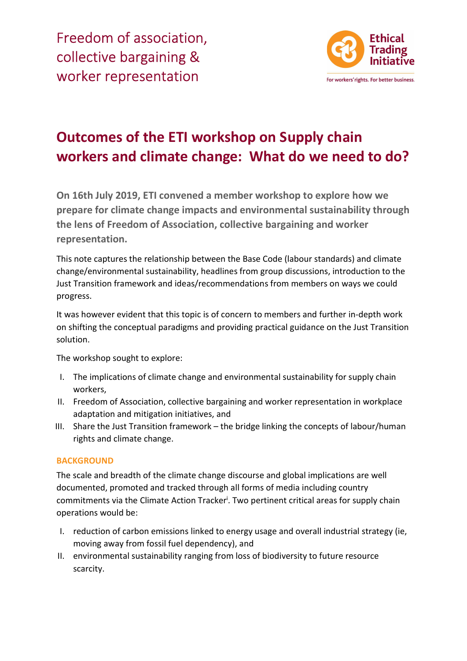Freedom of association, collective bargaining & worker representation



# Outcomes of the ETI workshop on Supply chain workers and climate change: What do we need to do?

On 16th July 2019, ETI convened a member workshop to explore how we prepare for climate change impacts and environmental sustainability through the lens of Freedom of Association, collective bargaining and worker representation.

This note captures the relationship between the Base Code (labour standards) and climate change/environmental sustainability, headlines from group discussions, introduction to the Just Transition framework and ideas/recommendations from members on ways we could progress.

It was however evident that this topic is of concern to members and further in-depth work on shifting the conceptual paradigms and providing practical guidance on the Just Transition solution.

The workshop sought to explore:

- I. The implications of climate change and environmental sustainability for supply chain workers,
- II. Freedom of Association, collective bargaining and worker representation in workplace adaptation and mitigation initiatives, and
- III. Share the Just Transition framework the bridge linking the concepts of labour/human rights and climate change.

## **BACKGROUND**

The scale and breadth of the climate change discourse and global implications are well documented, promoted and tracked through all forms of media including country commitments via the Climate Action Tracker<sup>i</sup>. Two pertinent critical areas for supply chain operations would be:

- I. reduction of carbon emissions linked to energy usage and overall industrial strategy (ie, moving away from fossil fuel dependency), and
- II. environmental sustainability ranging from loss of biodiversity to future resource scarcity.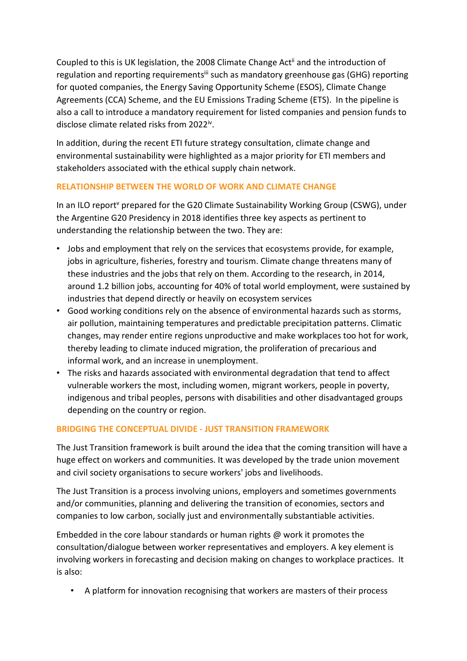Coupled to this is UK legislation, the 2008 Climate Change Actii and the introduction of regulation and reporting requirements<sup>iii</sup> such as mandatory greenhouse gas (GHG) reporting for quoted companies, the Energy Saving Opportunity Scheme (ESOS), Climate Change Agreements (CCA) Scheme, and the EU Emissions Trading Scheme (ETS). In the pipeline is also a call to introduce a mandatory requirement for listed companies and pension funds to disclose climate related risks from 2022<sup>iv</sup>.

In addition, during the recent ETI future strategy consultation, climate change and environmental sustainability were highlighted as a major priority for ETI members and stakeholders associated with the ethical supply chain network.

# RELATIONSHIP BETWEEN THE WORLD OF WORK AND CLIMATE CHANGE

In an ILO report<sup>v</sup> prepared for the G20 Climate Sustainability Working Group (CSWG), under the Argentine G20 Presidency in 2018 identifies three key aspects as pertinent to understanding the relationship between the two. They are:

- Jobs and employment that rely on the services that ecosystems provide, for example, jobs in agriculture, fisheries, forestry and tourism. Climate change threatens many of these industries and the jobs that rely on them. According to the research, in 2014, around 1.2 billion jobs, accounting for 40% of total world employment, were sustained by industries that depend directly or heavily on ecosystem services
- Good working conditions rely on the absence of environmental hazards such as storms, air pollution, maintaining temperatures and predictable precipitation patterns. Climatic changes, may render entire regions unproductive and make workplaces too hot for work, thereby leading to climate induced migration, the proliferation of precarious and informal work, and an increase in unemployment.
- The risks and hazards associated with environmental degradation that tend to affect vulnerable workers the most, including women, migrant workers, people in poverty, indigenous and tribal peoples, persons with disabilities and other disadvantaged groups depending on the country or region.

# BRIDGING THE CONCEPTUAL DIVIDE - JUST TRANSITION FRAMEWORK

The Just Transition framework is built around the idea that the coming transition will have a huge effect on workers and communities. It was developed by the trade union movement and civil society organisations to secure workers' jobs and livelihoods.

The Just Transition is a process involving unions, employers and sometimes governments and/or communities, planning and delivering the transition of economies, sectors and companies to low carbon, socially just and environmentally substantiable activities.

Embedded in the core labour standards or human rights @ work it promotes the consultation/dialogue between worker representatives and employers. A key element is involving workers in forecasting and decision making on changes to workplace practices. It is also:

• A platform for innovation recognising that workers are masters of their process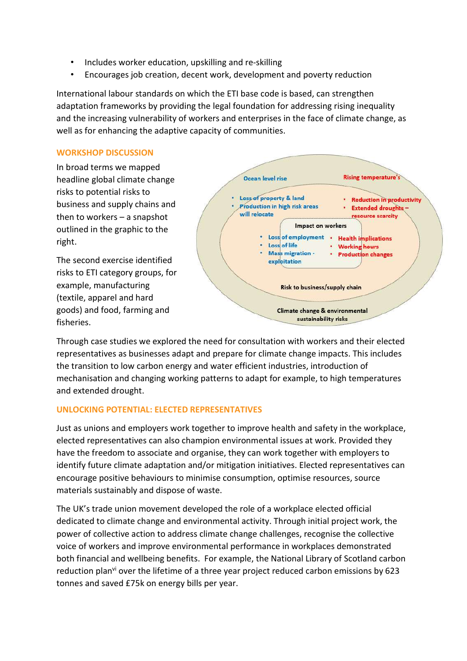- Includes worker education, upskilling and re-skilling
- Encourages job creation, decent work, development and poverty reduction

International labour standards on which the ETI base code is based, can strengthen adaptation frameworks by providing the legal foundation for addressing rising inequality and the increasing vulnerability of workers and enterprises in the face of climate change, as well as for enhancing the adaptive capacity of communities.

#### WORKSHOP DISCUSSION

In broad terms we mapped headline global climate change risks to potential risks to business and supply chains and then to workers – a snapshot outlined in the graphic to the right.

The second exercise identified risks to ETI category groups, for example, manufacturing (textile, apparel and hard goods) and food, farming and fisheries.



Through case studies we explored the need for consultation with workers and their elected representatives as businesses adapt and prepare for climate change impacts. This includes the transition to low carbon energy and water efficient industries, introduction of mechanisation and changing working patterns to adapt for example, to high temperatures and extended drought.

## UNLOCKING POTENTIAL: ELECTED REPRESENTATIVES

Just as unions and employers work together to improve health and safety in the workplace, elected representatives can also champion environmental issues at work. Provided they have the freedom to associate and organise, they can work together with employers to identify future climate adaptation and/or mitigation initiatives. Elected representatives can encourage positive behaviours to minimise consumption, optimise resources, source materials sustainably and dispose of waste.

The UK's trade union movement developed the role of a workplace elected official dedicated to climate change and environmental activity. Through initial project work, the power of collective action to address climate change challenges, recognise the collective voice of workers and improve environmental performance in workplaces demonstrated both financial and wellbeing benefits. For example, the National Library of Scotland carbon reduction plan<sup>vi</sup> over the lifetime of a three year project reduced carbon emissions by 623 tonnes and saved £75k on energy bills per year.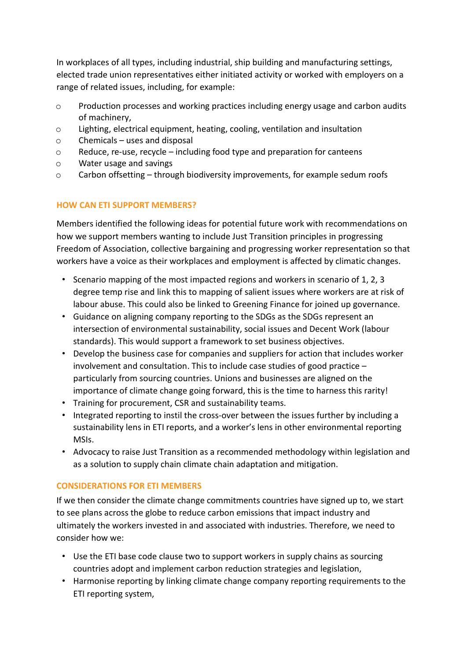In workplaces of all types, including industrial, ship building and manufacturing settings, elected trade union representatives either initiated activity or worked with employers on a range of related issues, including, for example:

- o Production processes and working practices including energy usage and carbon audits of machinery,
- o Lighting, electrical equipment, heating, cooling, ventilation and insultation
- o Chemicals uses and disposal
- o Reduce, re-use, recycle including food type and preparation for canteens
- o Water usage and savings
- o Carbon offsetting through biodiversity improvements, for example sedum roofs

# HOW CAN ETI SUPPORT MEMBERS?

Members identified the following ideas for potential future work with recommendations on how we support members wanting to include Just Transition principles in progressing Freedom of Association, collective bargaining and progressing worker representation so that workers have a voice as their workplaces and employment is affected by climatic changes.

- Scenario mapping of the most impacted regions and workers in scenario of 1, 2, 3 degree temp rise and link this to mapping of salient issues where workers are at risk of labour abuse. This could also be linked to Greening Finance for joined up governance.
- Guidance on aligning company reporting to the SDGs as the SDGs represent an intersection of environmental sustainability, social issues and Decent Work (labour standards). This would support a framework to set business objectives.
- Develop the business case for companies and suppliers for action that includes worker involvement and consultation. This to include case studies of good practice – particularly from sourcing countries. Unions and businesses are aligned on the importance of climate change going forward, this is the time to harness this rarity!
- Training for procurement, CSR and sustainability teams.
- Integrated reporting to instil the cross-over between the issues further by including a sustainability lens in ETI reports, and a worker's lens in other environmental reporting MSIs.
- Advocacy to raise Just Transition as a recommended methodology within legislation and as a solution to supply chain climate chain adaptation and mitigation.

## CONSIDERATIONS FOR ETI MEMBERS

If we then consider the climate change commitments countries have signed up to, we start to see plans across the globe to reduce carbon emissions that impact industry and ultimately the workers invested in and associated with industries. Therefore, we need to consider how we:

- Use the ETI base code clause two to support workers in supply chains as sourcing countries adopt and implement carbon reduction strategies and legislation,
- Harmonise reporting by linking climate change company reporting requirements to the ETI reporting system,